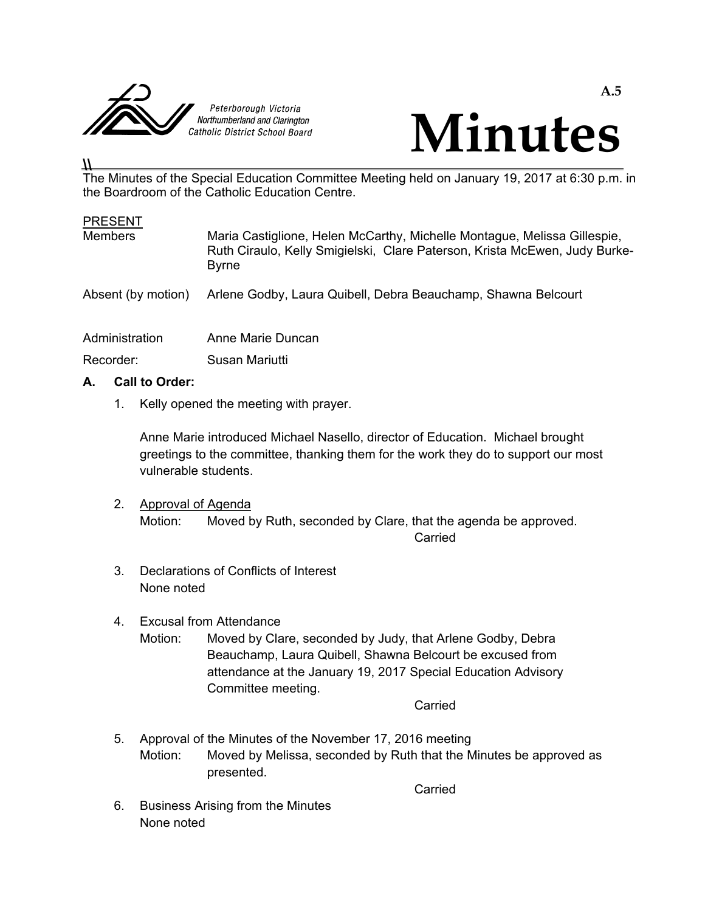



#### **\\**  The Minutes of the Special Education Committee Meeting held on January 19, 2017 at 6:30 p.m. in the Boardroom of the Catholic Education Centre.

### **PRESENT**

| <b>Members</b>     | Maria Castiglione, Helen McCarthy, Michelle Montague, Melissa Gillespie,<br>Ruth Ciraulo, Kelly Smigielski, Clare Paterson, Krista McEwen, Judy Burke-<br><b>Byrne</b> |
|--------------------|------------------------------------------------------------------------------------------------------------------------------------------------------------------------|
| Absent (by motion) | Arlene Godby, Laura Quibell, Debra Beauchamp, Shawna Belcourt                                                                                                          |
| Administration     | Anne Marie Duncan                                                                                                                                                      |
| Recorder:          | Susan Mariutti                                                                                                                                                         |

## **A. Call to Order:**

1. Kelly opened the meeting with prayer.

 Anne Marie introduced Michael Nasello, director of Education. Michael brought greetings to the committee, thanking them for the work they do to support our most vulnerable students.

# 2. Approval of Agenda Motion: Moved by Ruth, seconded by Clare, that the agenda be approved. **Carried** Carried Carried Carried Carried Carried Carried Carried Carried Carried Carried Carried Carried Carried Carried Carried Carried Carried Carried Carried Carried Carried Carried Carried Carried Carried Carried Carr

- 3. Declarations of Conflicts of Interest None noted
- 4. Excusal from Attendance
	- Motion: Moved by Clare, seconded by Judy, that Arlene Godby, Debra Beauchamp, Laura Quibell, Shawna Belcourt be excused from attendance at the January 19, 2017 Special Education Advisory Committee meeting.

**Carried Carried Carried Carried Carried Carried Carried Carried Carried Carried Carried Carried Carried Carried Carried Carried Carried Carried Carried Carried Carried Carried Carried Carried Carried Carried Carried Carri** 

 5. Approval of the Minutes of the November 17, 2016 meeting Motion: Moved by Melissa, seconded by Ruth that the Minutes be approved as presented.

**Carried Carried Carried Carried Carried Carried Carried Carried Carried Carried Carried Carried Carried Carried Carried Carried Carried Carried Carried Carried Carried Carried Carried Carried Carried Carried Carried Carri** 

 6. Business Arising from the Minutes None noted

**A.5**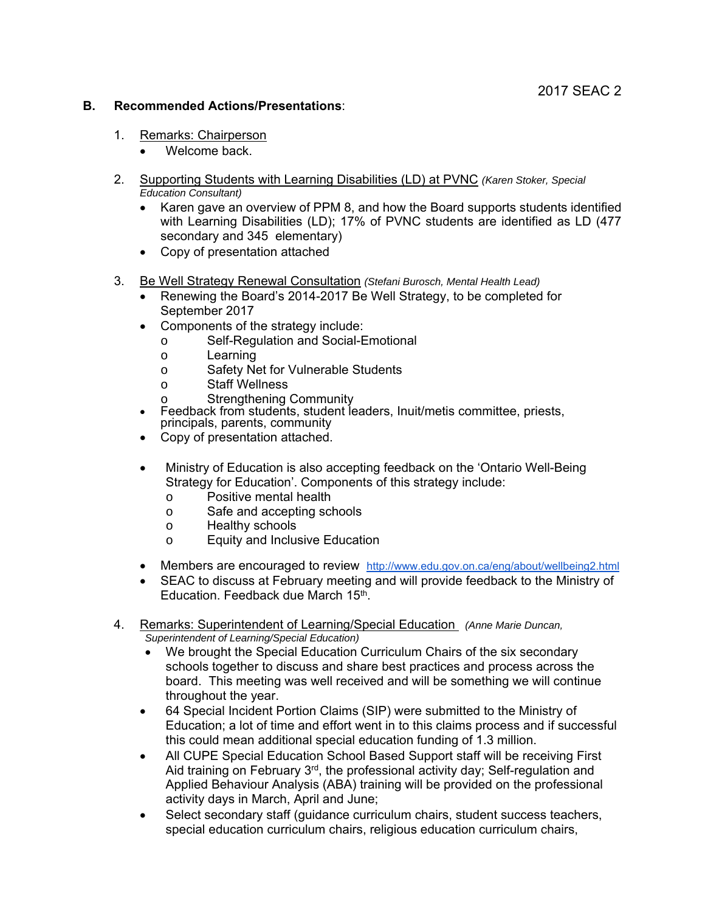### **B. Recommended Actions/Presentations**:

- 1. Remarks: Chairperson
	- Welcome back.
- 2. Supporting Students with Learning Disabilities (LD) at PVNC *(Karen Stoker, Special Education Consultant)* 
	- Karen gave an overview of PPM 8, and how the Board supports students identified with Learning Disabilities (LD); 17% of PVNC students are identified as LD (477 secondary and 345 elementary)
	- Copy of presentation attached
- 3. Be Well Strategy Renewal Consultation *(Stefani Burosch, Mental Health Lead)*
	- Renewing the Board's 2014-2017 Be Well Strategy, to be completed for September 2017
	- Components of the strategy include:
		- o Self-Regulation and Social-Emotional
		- o Learning
		- o Safety Net for Vulnerable Students
		-
		- o Staff Wellness<br>
		o Strengthening Community
	- Feedback from students, student leaders, Inuit/metis committee, priests, principals, parents, community
	- Copy of presentation attached.
	- Ministry of Education is also accepting feedback on the 'Ontario Well-Being Strategy for Education'. Components of this strategy include:
		- o Positive mental health
		- o Safe and accepting schools
		- o Healthy schools
		- o Equity and Inclusive Education
	- Members are encouraged to review http://www.edu.gov.on.ca/eng/about/wellbeing2.html
	- SEAC to discuss at February meeting and will provide feedback to the Ministry of Education. Feedback due March 15th.
- 4. Remarks: Superintendent of Learning/Special Education *(Anne Marie Duncan, Superintendent of Learning/Special Education)* 
	- We brought the Special Education Curriculum Chairs of the six secondary schools together to discuss and share best practices and process across the board. This meeting was well received and will be something we will continue throughout the year.
	- 64 Special Incident Portion Claims (SIP) were submitted to the Ministry of Education; a lot of time and effort went in to this claims process and if successful this could mean additional special education funding of 1.3 million.
	- All CUPE Special Education School Based Support staff will be receiving First Aid training on February 3<sup>rd</sup>, the professional activity day; Self-regulation and Applied Behaviour Analysis (ABA) training will be provided on the professional activity days in March, April and June;
	- Select secondary staff (guidance curriculum chairs, student success teachers, special education curriculum chairs, religious education curriculum chairs,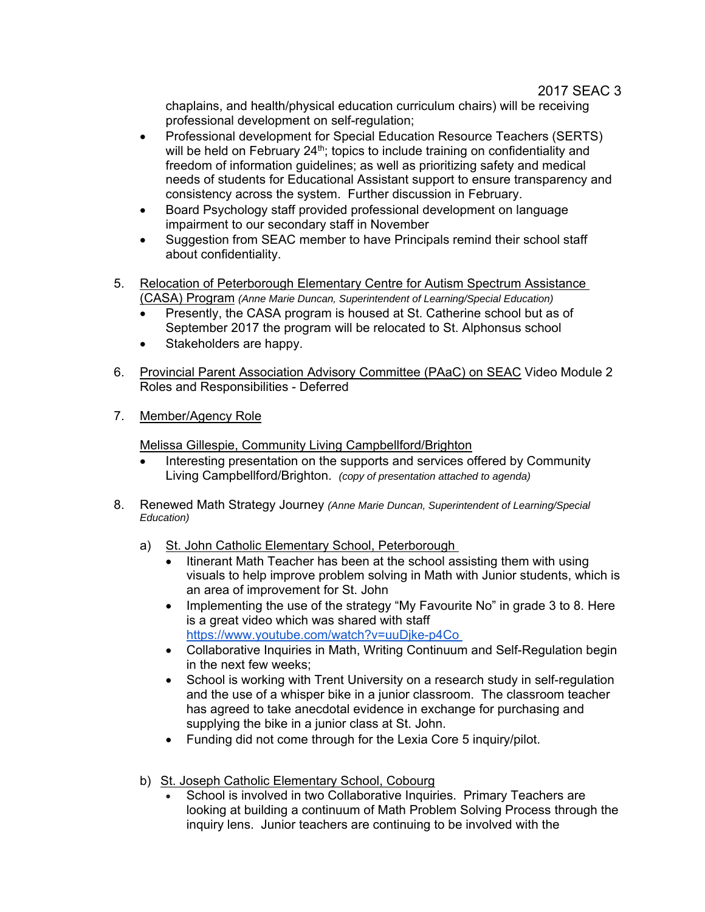chaplains, and health/physical education curriculum chairs) will be receiving professional development on self-regulation;

- Professional development for Special Education Resource Teachers (SERTS) will be held on February 24<sup>th</sup>; topics to include training on confidentiality and freedom of information guidelines; as well as prioritizing safety and medical needs of students for Educational Assistant support to ensure transparency and consistency across the system. Further discussion in February.
- Board Psychology staff provided professional development on language impairment to our secondary staff in November
- Suggestion from SEAC member to have Principals remind their school staff about confidentiality.
- 5. Relocation of Peterborough Elementary Centre for Autism Spectrum Assistance (CASA) Program *(Anne Marie Duncan, Superintendent of Learning/Special Education)* 
	- Presently, the CASA program is housed at St. Catherine school but as of September 2017 the program will be relocated to St. Alphonsus school
	- Stakeholders are happy.
- 6. Provincial Parent Association Advisory Committee (PAaC) on SEAC Video Module 2 Roles and Responsibilities - Deferred
- 7. Member/Agency Role

Melissa Gillespie, Community Living Campbellford/Brighton

- Interesting presentation on the supports and services offered by Community Living Campbellford/Brighton. *(copy of presentation attached to agenda)*
- 8. Renewed Math Strategy Journey *(Anne Marie Duncan, Superintendent of Learning/Special Education)* 
	- a) St. John Catholic Elementary School, Peterborough
		- Itinerant Math Teacher has been at the school assisting them with using visuals to help improve problem solving in Math with Junior students, which is an area of improvement for St. John
		- Implementing the use of the strategy "My Favourite No" in grade 3 to 8. Here is a great video which was shared with staff https://www.youtube.com/watch?v=uuDjke-p4Co
		- Collaborative Inquiries in Math, Writing Continuum and Self-Regulation begin in the next few weeks;
		- School is working with Trent University on a research study in self-regulation and the use of a whisper bike in a junior classroom. The classroom teacher has agreed to take anecdotal evidence in exchange for purchasing and supplying the bike in a junior class at St. John.
		- Funding did not come through for the Lexia Core 5 inquiry/pilot.
	- b) St. Joseph Catholic Elementary School, Cobourg
		- School is involved in two Collaborative Inquiries. Primary Teachers are looking at building a continuum of Math Problem Solving Process through the inquiry lens. Junior teachers are continuing to be involved with the